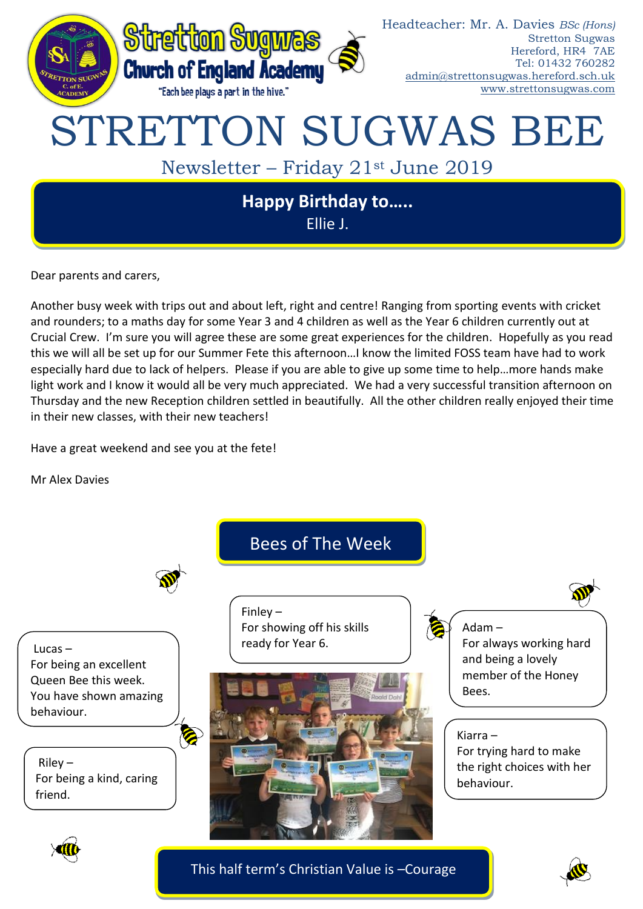

Dear parents and carers,

Another busy week with trips out and about left, right and centre! Ranging from sporting events with cricket and rounders; to a maths day for some Year 3 and 4 children as well as the Year 6 children currently out at Crucial Crew. I'm sure you will agree these are some great experiences for the children. Hopefully as you read this we will all be set up for our Summer Fete this afternoon…I know the limited FOSS team have had to work especially hard due to lack of helpers. Please if you are able to give up some time to help…more hands make light work and I know it would all be very much appreciated. We had a very successful transition afternoon on Thursday and the new Reception children settled in beautifully. All the other children really enjoyed their time in their new classes, with their new teachers!

Have a great weekend and see you at the fete!

Mr Alex Davies



This half term's Christian Value is –Courage